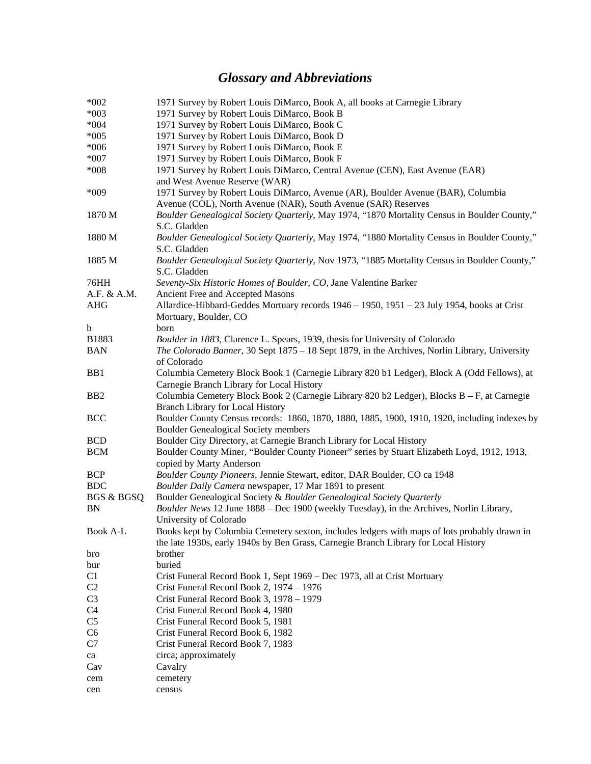## *Glossary and Abbreviations*

| $*002$                | 1971 Survey by Robert Louis DiMarco, Book A, all books at Carnegie Library                    |
|-----------------------|-----------------------------------------------------------------------------------------------|
| $*003$                | 1971 Survey by Robert Louis DiMarco, Book B                                                   |
| $*004$                | 1971 Survey by Robert Louis DiMarco, Book C                                                   |
| $*005$                | 1971 Survey by Robert Louis DiMarco, Book D                                                   |
| $*006$                | 1971 Survey by Robert Louis DiMarco, Book E                                                   |
| $*007$                | 1971 Survey by Robert Louis DiMarco, Book F                                                   |
| $*008$                | 1971 Survey by Robert Louis DiMarco, Central Avenue (CEN), East Avenue (EAR)                  |
|                       | and West Avenue Reserve (WAR)                                                                 |
| *009                  | 1971 Survey by Robert Louis DiMarco, Avenue (AR), Boulder Avenue (BAR), Columbia              |
|                       | Avenue (COL), North Avenue (NAR), South Avenue (SAR) Reserves                                 |
| 1870 M                | Boulder Genealogical Society Quarterly, May 1974, "1870 Mortality Census in Boulder County,"  |
|                       | S.C. Gladden                                                                                  |
| 1880 M                | Boulder Genealogical Society Quarterly, May 1974, "1880 Mortality Census in Boulder County,"  |
|                       |                                                                                               |
|                       | S.C. Gladden                                                                                  |
| 1885 M                | Boulder Genealogical Society Quarterly, Nov 1973, "1885 Mortality Census in Boulder County,"  |
|                       | S.C. Gladden                                                                                  |
| 76HH                  | Seventy-Six Historic Homes of Boulder, CO, Jane Valentine Barker                              |
| A.F. & A.M.           | Ancient Free and Accepted Masons                                                              |
| <b>AHG</b>            | Allardice-Hibbard-Geddes Mortuary records 1946 - 1950, 1951 - 23 July 1954, books at Crist    |
|                       | Mortuary, Boulder, CO                                                                         |
| b                     | born                                                                                          |
| B1883                 | Boulder in 1883, Clarence L. Spears, 1939, thesis for University of Colorado                  |
| BAN                   | The Colorado Banner, 30 Sept 1875 - 18 Sept 1879, in the Archives, Norlin Library, University |
|                       | of Colorado                                                                                   |
| B <sub>B1</sub>       | Columbia Cemetery Block Book 1 (Carnegie Library 820 b1 Ledger), Block A (Odd Fellows), at    |
|                       | Carnegie Branch Library for Local History                                                     |
| B <sub>B2</sub>       | Columbia Cemetery Block Book 2 (Carnegie Library 820 b2 Ledger), Blocks B - F, at Carnegie    |
|                       | <b>Branch Library for Local History</b>                                                       |
| <b>BCC</b>            | Boulder County Census records: 1860, 1870, 1880, 1885, 1900, 1910, 1920, including indexes by |
|                       | <b>Boulder Genealogical Society members</b>                                                   |
| <b>BCD</b>            | Boulder City Directory, at Carnegie Branch Library for Local History                          |
| <b>BCM</b>            | Boulder County Miner, "Boulder County Pioneer" series by Stuart Elizabeth Loyd, 1912, 1913,   |
|                       | copied by Marty Anderson                                                                      |
| <b>BCP</b>            | Boulder County Pioneers, Jennie Stewart, editor, DAR Boulder, CO ca 1948                      |
| <b>BDC</b>            | Boulder Daily Camera newspaper, 17 Mar 1891 to present                                        |
| <b>BGS &amp; BGSQ</b> | Boulder Genealogical Society & Boulder Genealogical Society Quarterly                         |
| BN                    | Boulder News 12 June 1888 – Dec 1900 (weekly Tuesday), in the Archives, Norlin Library,       |
|                       | University of Colorado                                                                        |
| <b>Book A-L</b>       | Books kept by Columbia Cemetery sexton, includes ledgers with maps of lots probably drawn in  |
|                       | the late 1930s, early 1940s by Ben Grass, Carnegie Branch Library for Local History           |
| bro                   | brother                                                                                       |
| bur                   | buried                                                                                        |
| C1                    | Crist Funeral Record Book 1, Sept 1969 – Dec 1973, all at Crist Mortuary                      |
| C <sub>2</sub>        | Crist Funeral Record Book 2, 1974 - 1976                                                      |
| C <sub>3</sub>        | Crist Funeral Record Book 3, 1978 - 1979                                                      |
| C <sub>4</sub>        | Crist Funeral Record Book 4, 1980                                                             |
| C5                    | Crist Funeral Record Book 5, 1981                                                             |
| C <sub>6</sub>        | Crist Funeral Record Book 6, 1982                                                             |
| C7                    | Crist Funeral Record Book 7, 1983                                                             |
| ca                    | circa; approximately                                                                          |
| Cav                   | Cavalry                                                                                       |
| cem                   | cemetery                                                                                      |
| cen                   | census                                                                                        |
|                       |                                                                                               |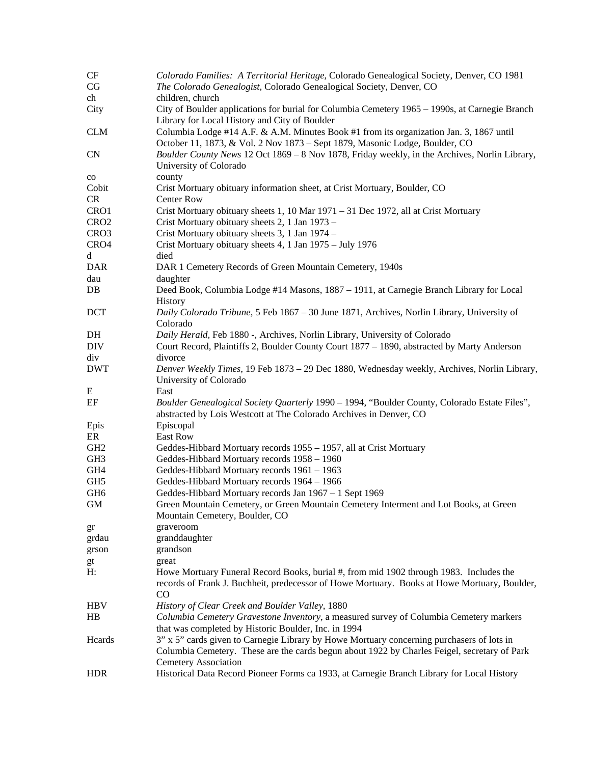| CF<br>CG         | Colorado Families: A Territorial Heritage, Colorado Genealogical Society, Denver, CO 1981<br>The Colorado Genealogist, Colorado Genealogical Society, Denver, CO                       |
|------------------|----------------------------------------------------------------------------------------------------------------------------------------------------------------------------------------|
| ch               | children, church                                                                                                                                                                       |
| City             | City of Boulder applications for burial for Columbia Cemetery 1965 – 1990s, at Carnegie Branch<br>Library for Local History and City of Boulder                                        |
| <b>CLM</b>       | Columbia Lodge #14 A.F. & A.M. Minutes Book #1 from its organization Jan. 3, 1867 until<br>October 11, 1873, & Vol. 2 Nov 1873 - Sept 1879, Masonic Lodge, Boulder, CO                 |
| CN               | Boulder County News 12 Oct 1869 - 8 Nov 1878, Friday weekly, in the Archives, Norlin Library,<br>University of Colorado                                                                |
| $_{\rm co}$      | county                                                                                                                                                                                 |
| Cobit            | Crist Mortuary obituary information sheet, at Crist Mortuary, Boulder, CO                                                                                                              |
| <b>CR</b>        | <b>Center Row</b>                                                                                                                                                                      |
| CRO1             | Crist Mortuary obituary sheets 1, 10 Mar 1971 - 31 Dec 1972, all at Crist Mortuary                                                                                                     |
| CRO <sub>2</sub> | Crist Mortuary obituary sheets 2, 1 Jan 1973 -                                                                                                                                         |
| CRO <sub>3</sub> | Crist Mortuary obituary sheets 3, 1 Jan 1974 -                                                                                                                                         |
| CRO4             | Crist Mortuary obituary sheets 4, 1 Jan 1975 - July 1976                                                                                                                               |
| d                | died                                                                                                                                                                                   |
| <b>DAR</b>       | DAR 1 Cemetery Records of Green Mountain Cemetery, 1940s                                                                                                                               |
| dau              | daughter                                                                                                                                                                               |
| DB               | Deed Book, Columbia Lodge #14 Masons, 1887 - 1911, at Carnegie Branch Library for Local<br>History                                                                                     |
| <b>DCT</b>       | Daily Colorado Tribune, 5 Feb 1867 - 30 June 1871, Archives, Norlin Library, University of<br>Colorado                                                                                 |
| DH               | Daily Herald, Feb 1880 -, Archives, Norlin Library, University of Colorado                                                                                                             |
| <b>DIV</b>       | Court Record, Plaintiffs 2, Boulder County Court 1877 – 1890, abstracted by Marty Anderson                                                                                             |
| div              | divorce                                                                                                                                                                                |
| <b>DWT</b>       | Denver Weekly Times, 19 Feb 1873 - 29 Dec 1880, Wednesday weekly, Archives, Norlin Library,                                                                                            |
|                  | University of Colorado                                                                                                                                                                 |
| E                | East                                                                                                                                                                                   |
| EF               | Boulder Genealogical Society Quarterly 1990 - 1994, "Boulder County, Colorado Estate Files",<br>abstracted by Lois Westcott at The Colorado Archives in Denver, CO                     |
| Epis             | Episcopal                                                                                                                                                                              |
| ER               | East Row                                                                                                                                                                               |
| GH <sub>2</sub>  | Geddes-Hibbard Mortuary records 1955 - 1957, all at Crist Mortuary                                                                                                                     |
| GH <sub>3</sub>  | Geddes-Hibbard Mortuary records 1958 - 1960                                                                                                                                            |
| GH4              | Geddes-Hibbard Mortuary records 1961 - 1963                                                                                                                                            |
| GH <sub>5</sub>  | Geddes-Hibbard Mortuary records 1964 - 1966                                                                                                                                            |
| GH <sub>6</sub>  | Geddes-Hibbard Mortuary records Jan 1967 - 1 Sept 1969                                                                                                                                 |
| <b>GM</b>        | Green Mountain Cemetery, or Green Mountain Cemetery Interment and Lot Books, at Green<br>Mountain Cemetery, Boulder, CO                                                                |
| gr               | graveroom                                                                                                                                                                              |
| grdau            | granddaughter                                                                                                                                                                          |
| grson            | grandson                                                                                                                                                                               |
| gt               | great                                                                                                                                                                                  |
| H:               | Howe Mortuary Funeral Record Books, burial #, from mid 1902 through 1983. Includes the<br>records of Frank J. Buchheit, predecessor of Howe Mortuary. Books at Howe Mortuary, Boulder, |
|                  | $\rm CO$                                                                                                                                                                               |
| <b>HBV</b>       | History of Clear Creek and Boulder Valley, 1880                                                                                                                                        |
| HB               | Columbia Cemetery Gravestone Inventory, a measured survey of Columbia Cemetery markers<br>that was completed by Historic Boulder, Inc. in 1994                                         |
| Heards           | 3" x 5" cards given to Carnegie Library by Howe Mortuary concerning purchasers of lots in                                                                                              |
|                  | Columbia Cemetery. These are the cards begun about 1922 by Charles Feigel, secretary of Park<br><b>Cemetery Association</b>                                                            |
| <b>HDR</b>       | Historical Data Record Pioneer Forms ca 1933, at Carnegie Branch Library for Local History                                                                                             |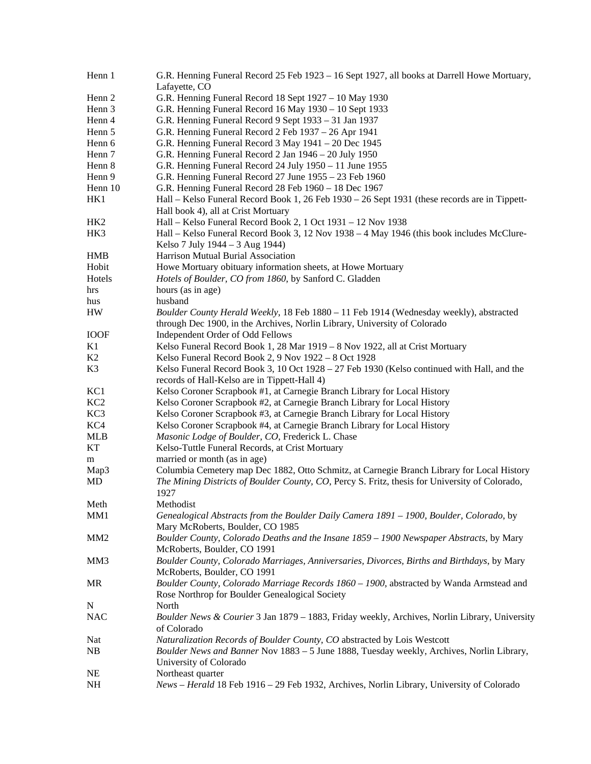| Henn 1          | G.R. Henning Funeral Record 25 Feb 1923 – 16 Sept 1927, all books at Darrell Howe Mortuary,<br>Lafayette, CO                                                        |
|-----------------|---------------------------------------------------------------------------------------------------------------------------------------------------------------------|
| Henn 2          | G.R. Henning Funeral Record 18 Sept 1927 - 10 May 1930                                                                                                              |
| Henn 3          | G.R. Henning Funeral Record 16 May 1930 - 10 Sept 1933                                                                                                              |
| Henn 4          | G.R. Henning Funeral Record 9 Sept 1933 - 31 Jan 1937                                                                                                               |
| Henn 5          | G.R. Henning Funeral Record 2 Feb 1937 - 26 Apr 1941                                                                                                                |
| Henn 6          | G.R. Henning Funeral Record 3 May 1941 - 20 Dec 1945                                                                                                                |
| Henn 7          | G.R. Henning Funeral Record 2 Jan 1946 - 20 July 1950                                                                                                               |
| Henn 8          | G.R. Henning Funeral Record 24 July 1950 - 11 June 1955                                                                                                             |
| Henn 9          | G.R. Henning Funeral Record 27 June 1955 – 23 Feb 1960                                                                                                              |
| Henn 10         | G.R. Henning Funeral Record 28 Feb 1960 - 18 Dec 1967                                                                                                               |
| HK1             | Hall – Kelso Funeral Record Book 1, 26 Feb 1930 – 26 Sept 1931 (these records are in Tippett-<br>Hall book 4), all at Crist Mortuary                                |
| HK <sub>2</sub> | Hall - Kelso Funeral Record Book 2, 1 Oct 1931 - 12 Nov 1938                                                                                                        |
| HK3             | Hall – Kelso Funeral Record Book 3, 12 Nov 1938 – 4 May 1946 (this book includes McClure-                                                                           |
|                 | Kelso 7 July 1944 – 3 Aug 1944)                                                                                                                                     |
| <b>HMB</b>      | Harrison Mutual Burial Association                                                                                                                                  |
| Hobit           | Howe Mortuary obituary information sheets, at Howe Mortuary                                                                                                         |
| Hotels          | Hotels of Boulder, CO from 1860, by Sanford C. Gladden                                                                                                              |
| hrs             | hours (as in age)                                                                                                                                                   |
| hus             | husband                                                                                                                                                             |
| <b>HW</b>       | Boulder County Herald Weekly, 18 Feb 1880 - 11 Feb 1914 (Wednesday weekly), abstracted<br>through Dec 1900, in the Archives, Norlin Library, University of Colorado |
| <b>IOOF</b>     | Independent Order of Odd Fellows                                                                                                                                    |
| K1              | Kelso Funeral Record Book 1, 28 Mar 1919 - 8 Nov 1922, all at Crist Mortuary                                                                                        |
| K2              | Kelso Funeral Record Book 2, 9 Nov 1922 - 8 Oct 1928                                                                                                                |
| K3              | Kelso Funeral Record Book 3, 10 Oct $1928 - 27$ Feb 1930 (Kelso continued with Hall, and the                                                                        |
|                 | records of Hall-Kelso are in Tippett-Hall 4)                                                                                                                        |
| KC1             | Kelso Coroner Scrapbook #1, at Carnegie Branch Library for Local History                                                                                            |
| KC <sub>2</sub> | Kelso Coroner Scrapbook #2, at Carnegie Branch Library for Local History                                                                                            |
| KC <sub>3</sub> | Kelso Coroner Scrapbook #3, at Carnegie Branch Library for Local History                                                                                            |
| KC4             | Kelso Coroner Scrapbook #4, at Carnegie Branch Library for Local History                                                                                            |
| <b>MLB</b>      | Masonic Lodge of Boulder, CO, Frederick L. Chase                                                                                                                    |
| KT              | Kelso-Tuttle Funeral Records, at Crist Mortuary                                                                                                                     |
| m               | married or month (as in age)                                                                                                                                        |
| Map3            | Columbia Cemetery map Dec 1882, Otto Schmitz, at Carnegie Branch Library for Local History                                                                          |
| MD              | The Mining Districts of Boulder County, CO, Percy S. Fritz, thesis for University of Colorado,<br>1927                                                              |
| Meth            | Methodist                                                                                                                                                           |
| MM1             | Genealogical Abstracts from the Boulder Daily Camera 1891 – 1900, Boulder, Colorado, by<br>Mary McRoberts, Boulder, CO 1985                                         |
| MM <sub>2</sub> | Boulder County, Colorado Deaths and the Insane 1859 – 1900 Newspaper Abstracts, by Mary                                                                             |
|                 | McRoberts, Boulder, CO 1991                                                                                                                                         |
| MM3             | Boulder County, Colorado Marriages, Anniversaries, Divorces, Births and Birthdays, by Mary<br>McRoberts, Boulder, CO 1991                                           |
| MR              | Boulder County, Colorado Marriage Records 1860 - 1900, abstracted by Wanda Armstead and<br>Rose Northrop for Boulder Genealogical Society                           |
| N               | North                                                                                                                                                               |
| <b>NAC</b>      | Boulder News & Courier 3 Jan 1879 - 1883, Friday weekly, Archives, Norlin Library, University                                                                       |
|                 | of Colorado                                                                                                                                                         |
| Nat             | Naturalization Records of Boulder County, CO abstracted by Lois Westcott                                                                                            |
| NB              | Boulder News and Banner Nov 1883 - 5 June 1888, Tuesday weekly, Archives, Norlin Library,<br>University of Colorado                                                 |
| <b>NE</b>       | Northeast quarter                                                                                                                                                   |
| NH              | News - Herald 18 Feb 1916 - 29 Feb 1932, Archives, Norlin Library, University of Colorado                                                                           |